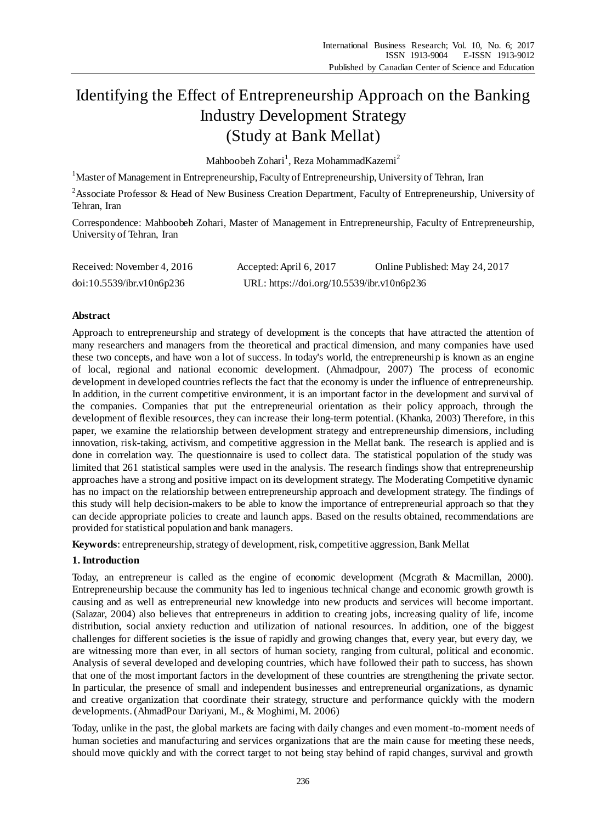# Identifying the Effect of Entrepreneurship Approach on the Banking Industry Development Strategy (Study at Bank Mellat)

 $\mathbf M$ ahboobeh Zohari $^1$ , Reza MohammadKazemi $^2$ 

<sup>1</sup>Master of Management in Entrepreneurship, Faculty of Entrepreneurship, University of Tehran, Iran

<sup>2</sup>Associate Professor & Head of New Business Creation Department, Faculty of Entrepreneurship, University of Tehran, Iran

Correspondence: Mahboobeh Zohari, Master of Management in Entrepreneurship, Faculty of Entrepreneurship, University of Tehran, Iran

| Received: November 4, 2016 | Accepted: April 6, 2017                    | Online Published: May 24, 2017 |
|----------------------------|--------------------------------------------|--------------------------------|
| doi:10.5539/ibr.v10n6p236  | URL: https://doi.org/10.5539/ibr.v10n6p236 |                                |

## **Abstract**

Approach to entrepreneurship and strategy of development is the concepts that have attracted the attention of many researchers and managers from the theoretical and practical dimension, and many companies have used these two concepts, and have won a lot of success. In today's world, the entrepreneurship is known as an engine of local, regional and national economic development. (Ahmadpour, 2007) The process of economic development in developed countries reflects the fact that the economy is under the influence of entrepreneurship. In addition, in the current competitive environment, it is an important factor in the development and survival of the companies. Companies that put the entrepreneurial orientation as their policy approach, through the development of flexible resources, they can increase their long-term potential. (Khanka, 2003) Therefore, in this paper, we examine the relationship between development strategy and entrepreneurship dimensions, including innovation, risk-taking, activism, and competitive aggression in the Mellat bank. The research is applied and is done in correlation way. The questionnaire is used to collect data. The statistical population of the study was limited that 261 statistical samples were used in the analysis. The research findings show that entrepreneurship approaches have a strong and positive impact on its development strategy. The Moderating Competitive dynamic has no impact on the relationship between entrepreneurship approach and development strategy. The findings of this study will help decision-makers to be able to know the importance of entrepreneurial approach so that they can decide appropriate policies to create and launch apps. Based on the results obtained, recommendations are provided for statistical population and bank managers.

**Keywords**: entrepreneurship, strategy of development, risk, competitive aggression, Bank Mellat

#### **1. Introduction**

Today, an entrepreneur is called as the engine of economic development (Mcgrath & Macmillan, 2000). Entrepreneurship because the community has led to ingenious technical change and economic growth growth is causing and as well as entrepreneurial new knowledge into new products and services will become important. (Salazar, 2004) also believes that entrepreneurs in addition to creating jobs, increasing quality of life, income distribution, social anxiety reduction and utilization of national resources. In addition, one of the biggest challenges for different societies is the issue of rapidly and growing changes that, every year, but every day, we are witnessing more than ever, in all sectors of human society, ranging from cultural, political and economic. Analysis of several developed and developing countries, which have followed their path to success, has shown that one of the most important factors in the development of these countries are strengthening the private sector. In particular, the presence of small and independent businesses and entrepreneurial organizations, as dynamic and creative organization that coordinate their strategy, structure and performance quickly with the modern developments.(AhmadPour Dariyani, M., & Moghimi, M. 2006)

Today, unlike in the past, the global markets are facing with daily changes and even moment-to-moment needs of human societies and manufacturing and services organizations that are the main cause for meeting these needs, should move quickly and with the correct target to not being stay behind of rapid changes, survival and growth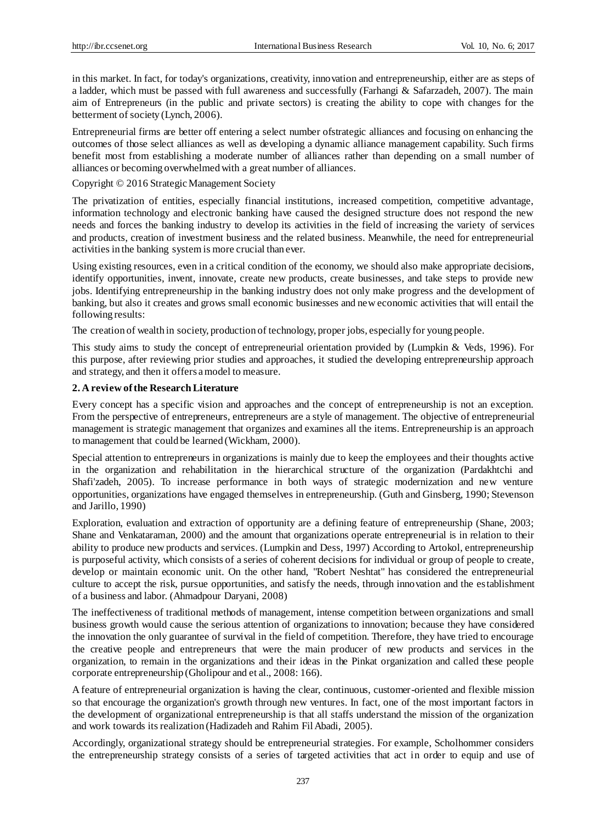in this market. In fact, for today's organizations, creativity, innovation and entrepreneurship, either are as steps of a ladder, which must be passed with full awareness and successfully (Farhangi & Safarzadeh, 2007). The main aim of Entrepreneurs (in the public and private sectors) is creating the ability to cope with changes for the betterment of society (Lynch, 2006).

Entrepreneurial firms are better off entering a select number ofstrategic alliances and focusing on enhancing the outcomes of those select alliances as well as developing a dynamic alliance management capability. Such firms benefit most from establishing a moderate number of alliances rather than depending on a small number of alliances or becoming overwhelmed with a great number of alliances.

Copyright © 2016 Strategic Management Society

The privatization of entities, especially financial institutions, increased competition, competitive advantage, information technology and electronic banking have caused the designed structure does not respond the new needs and forces the banking industry to develop its activities in the field of increasing the variety of services and products, creation of investment business and the related business. Meanwhile, the need for entrepreneurial activities in the banking system is more crucial than ever.

Using existing resources, even in a critical condition of the economy, we should also make appropriate decisions, identify opportunities, invent, innovate, create new products, create businesses, and take steps to provide new jobs. Identifying entrepreneurship in the banking industry does not only make progress and the development of banking, but also it creates and grows small economic businesses and new economic activities that will entail the following results:

The creation of wealth in society, production of technology, proper jobs, especially for young people.

This study aims to study the concept of entrepreneurial orientation provided by (Lumpkin & Veds, 1996). For this purpose, after reviewing prior studies and approaches, it studied the developing entrepreneurship approach and strategy, and then it offers a model to measure.

#### **2. A review of the Research Literature**

Every concept has a specific vision and approaches and the concept of entrepreneurship is not an exception. From the perspective of entrepreneurs, entrepreneurs are a style of management. The objective of entrepreneurial management is strategic management that organizes and examines all the items. Entrepreneurship is an approach to management that could be learned (Wickham, 2000).

Special attention to entrepreneurs in organizations is mainly due to keep the employees and their thoughts active in the organization and rehabilitation in the hierarchical structure of the organization (Pardakhtchi and Shafi'zadeh, 2005). To increase performance in both ways of strategic modernization and new venture opportunities, organizations have engaged themselves in entrepreneurship. (Guth and Ginsberg, 1990; Stevenson and Jarillo, 1990)

Exploration, evaluation and extraction of opportunity are a defining feature of entrepreneurship (Shane, 2003; Shane and Venkataraman, 2000) and the amount that organizations operate entrepreneurial is in relation to their ability to produce new products and services. (Lumpkin and Dess, 1997) According to Artokol, entrepreneurship is purposeful activity, which consists of a series of coherent decisions for individual or group of people to create, develop or maintain economic unit. On the other hand, "Robert Neshtat" has considered the entrepreneurial culture to accept the risk, pursue opportunities, and satisfy the needs, through innovation and the establishment of a business and labor. (Ahmadpour Daryani, 2008)

The ineffectiveness of traditional methods of management, intense competition between organizations and small business growth would cause the serious attention of organizations to innovation; because they have considered the innovation the only guarantee of survival in the field of competition. Therefore, they have tried to encourage the creative people and entrepreneurs that were the main producer of new products and services in the organization, to remain in the organizations and their ideas in the Pinkat organization and called these people corporate entrepreneurship (Gholipour and et al., 2008: 166).

A feature of entrepreneurial organization is having the clear, continuous, customer-oriented and flexible mission so that encourage the organization's growth through new ventures. In fact, one of the most important factors in the development of organizational entrepreneurship is that all staffs understand the mission of the organization and work towards its realization (Hadizadeh and Rahim Fil Abadi, 2005).

Accordingly, organizational strategy should be entrepreneurial strategies. For example, Scholhommer considers the entrepreneurship strategy consists of a series of targeted activities that act in order to equip and use of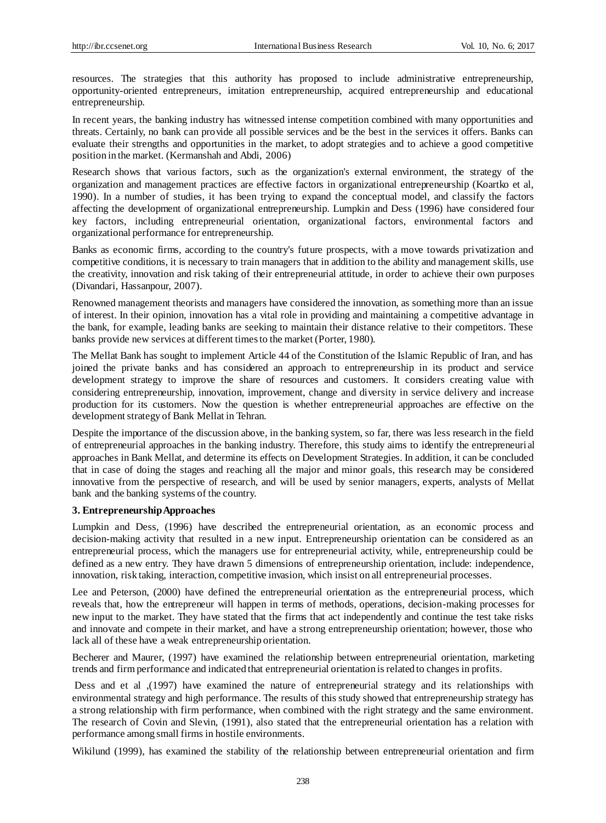resources. The strategies that this authority has proposed to include administrative entrepreneurship, opportunity-oriented entrepreneurs, imitation entrepreneurship, acquired entrepreneurship and educational entrepreneurship.

In recent years, the banking industry has witnessed intense competition combined with many opportunities and threats. Certainly, no bank can provide all possible services and be the best in the services it offers. Banks can evaluate their strengths and opportunities in the market, to adopt strategies and to achieve a good competitive position in the market. (Kermanshah and Abdi, 2006)

Research shows that various factors, such as the organization's external environment, the strategy of the organization and management practices are effective factors in organizational entrepreneurship (Koartko et al, 1990). In a number of studies, it has been trying to expand the conceptual model, and classify the factors affecting the development of organizational entrepreneurship. Lumpkin and Dess (1996) have considered four key factors, including entrepreneurial orientation, organizational factors, environmental factors and organizational performance for entrepreneurship.

Banks as economic firms, according to the country's future prospects, with a move towards privatization and competitive conditions, it is necessary to train managers that in addition to the ability and management skills, use the creativity, innovation and risk taking of their entrepreneurial attitude, in order to achieve their own purposes (Divandari, Hassanpour, 2007).

Renowned management theorists and managers have considered the innovation, as something more than an issue of interest. In their opinion, innovation has a vital role in providing and maintaining a competitive advantage in the bank, for example, leading banks are seeking to maintain their distance relative to their competitors. These banks provide new services at different times to the market (Porter, 1980).

The Mellat Bank has sought to implement Article 44 of the Constitution of the Islamic Republic of Iran, and has joined the private banks and has considered an approach to entrepreneurship in its product and service development strategy to improve the share of resources and customers. It considers creating value with considering entrepreneurship, innovation, improvement, change and diversity in service delivery and increase production for its customers. Now the question is whether entrepreneurial approaches are effective on the development strategy of Bank Mellat in Tehran.

Despite the importance of the discussion above, in the banking system, so far, there was less research in the field of entrepreneurial approaches in the banking industry. Therefore, this study aims to identify the entrepreneurial approaches in Bank Mellat, and determine its effects on Development Strategies. In addition, it can be concluded that in case of doing the stages and reaching all the major and minor goals, this research may be considered innovative from the perspective of research, and will be used by senior managers, experts, analysts of Mellat bank and the banking systems of the country.

# **3. Entrepreneurship Approaches**

Lumpkin and Dess, (1996) have described the entrepreneurial orientation, as an economic process and decision-making activity that resulted in a new input. Entrepreneurship orientation can be considered as an entrepreneurial process, which the managers use for entrepreneurial activity, while, entrepreneurship could be defined as a new entry. They have drawn 5 dimensions of entrepreneurship orientation, include: independence, innovation, risk taking, interaction, competitive invasion, which insist on all entrepreneurial processes.

Lee and Peterson, (2000) have defined the entrepreneurial orientation as the entrepreneurial process, which reveals that, how the entrepreneur will happen in terms of methods, operations, decision-making processes for new input to the market. They have stated that the firms that act independently and continue the test take risks and innovate and compete in their market, and have a strong entrepreneurship orientation; however, those who lack all of these have a weak entrepreneurship orientation.

Becherer and Maurer, (1997) have examined the relationship between entrepreneurial orientation, marketing trends and firm performance and indicated that entrepreneurial orientation is related to changes in profits.

Dess and et al ,(1997) have examined the nature of entrepreneurial strategy and its relationships with environmental strategy and high performance. The results of this study showed that entrepreneurship strategy has a strong relationship with firm performance, when combined with the right strategy and the same environment. The research of Covin and Slevin, (1991), also stated that the entrepreneurial orientation has a relation with performance among small firms in hostile environments.

Wikilund (1999), has examined the stability of the relationship between entrepreneurial orientation and firm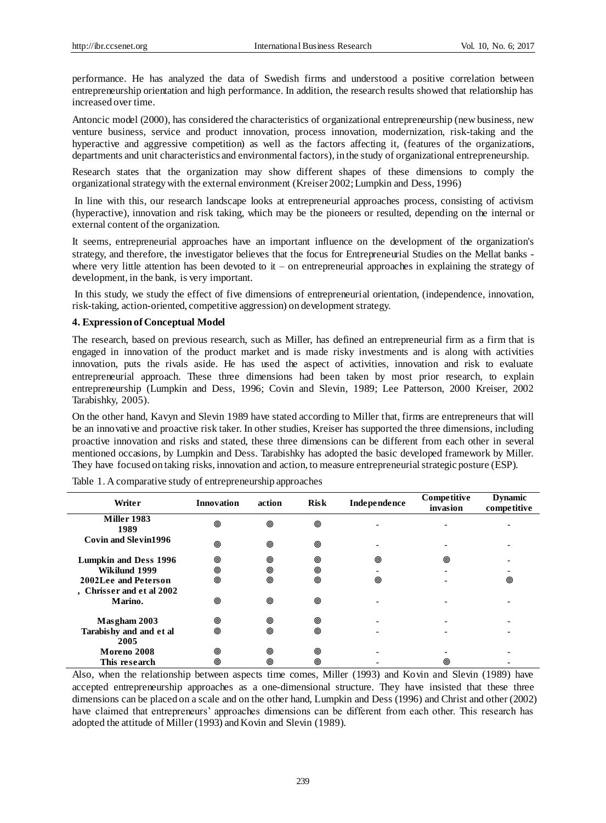performance. He has analyzed the data of Swedish firms and understood a positive correlation between entrepreneurship orientation and high performance. In addition, the research results showed that relationship has increased over time.

Antoncic model (2000), has considered the characteristics of organizational entrepreneurship (new business, new venture business, service and product innovation, process innovation, modernization, risk-taking and the hyperactive and aggressive competition) as well as the factors affecting it, (features of the organizations, departments and unit characteristics and environmental factors), in the study of organizational entrepreneurship.

Research states that the organization may show different shapes of these dimensions to comply the organizational strategy with the external environment (Kreiser 2002; Lumpkin and Dess, 1996)

In line with this, our research landscape looks at entrepreneurial approaches process, consisting of activism (hyperactive), innovation and risk taking, which may be the pioneers or resulted, depending on the internal or external content of the organization.

It seems, entrepreneurial approaches have an important influence on the development of the organization's strategy, and therefore, the investigator believes that the focus for Entrepreneurial Studies on the Mellat banks where very little attention has been devoted to it – on entrepreneurial approaches in explaining the strategy of development, in the bank, is very important.

In this study, we study the effect of five dimensions of entrepreneurial orientation, (independence, innovation, risk-taking, action-oriented, competitive aggression) on development strategy.

#### **4. Expression of Conceptual Model**

The research, based on previous research, such as Miller, has defined an entrepreneurial firm as a firm that is engaged in innovation of the product market and is made risky investments and is along with activities innovation, puts the rivals aside. He has used the aspect of activities, innovation and risk to evaluate entrepreneurial approach. These three dimensions had been taken by most prior research, to explain entrepreneurship (Lumpkin and Dess, 1996; Covin and Slevin, 1989; Lee Patterson, 2000 Kreiser, 2002 Tarabishky, 2005).

On the other hand, Kavyn and Slevin 1989 have stated according to Miller that, firms are entrepreneurs that will be an innovative and proactive risk taker. In other studies, Kreiser has supported the three dimensions, including proactive innovation and risks and stated, these three dimensions can be different from each other in several mentioned occasions, by Lumpkin and Dess. Tarabishky has adopted the basic developed framework by Miller. They have focused on taking risks, innovation and action, to measure entrepreneurial strategic posture (ESP).

| Writer                          | <b>Innovation</b> | action | <b>Risk</b> | Independence | Competitive<br>invasion | <b>Dynamic</b><br>competitive |
|---------------------------------|-------------------|--------|-------------|--------------|-------------------------|-------------------------------|
| <b>Miller 1983</b><br>1989      | ◉                 | ◉      | ◉           |              |                         |                               |
| <b>Covin and Slevin1996</b>     | ◉                 | ◉      | ◉           |              |                         |                               |
| <b>Lumpkin and Dess 1996</b>    | ◎                 | ◉      | ◉           | ◎            | ◉                       |                               |
| Wikilund 1999                   | ◉                 | ◉      | ◉           |              |                         |                               |
| 2002Lee and Peterson            | ◎                 | ◉      | ◉           | ◉            |                         | ◉                             |
| Chrisser and et al 2002         |                   |        |             |              |                         |                               |
| Marino.                         | ◎                 | ◉      | ◉           |              |                         |                               |
| Masgham 2003                    | ◎                 | ◉      | ◉           |              |                         |                               |
| Tarabishy and and et al<br>2005 | ◉                 | ◉      | ◉           |              |                         |                               |
| Moreno 2008                     | ◎                 | ◉      | ◉           |              |                         |                               |
| This research                   | ◎                 | ◉      | ◉           |              | ◉                       |                               |

Table 1. A comparative study of entrepreneurship approaches

Also, when the relationship between aspects time comes, Miller (1993) and Kovin and Slevin (1989) have accepted entrepreneurship approaches as a one-dimensional structure. They have insisted that these three dimensions can be placed on a scale and on the other hand, Lumpkin and Dess (1996) and Christ and other (2002) have claimed that entrepreneurs' approaches dimensions can be different from each other. This research has adopted the attitude of Miller (1993) and Kovin and Slevin (1989).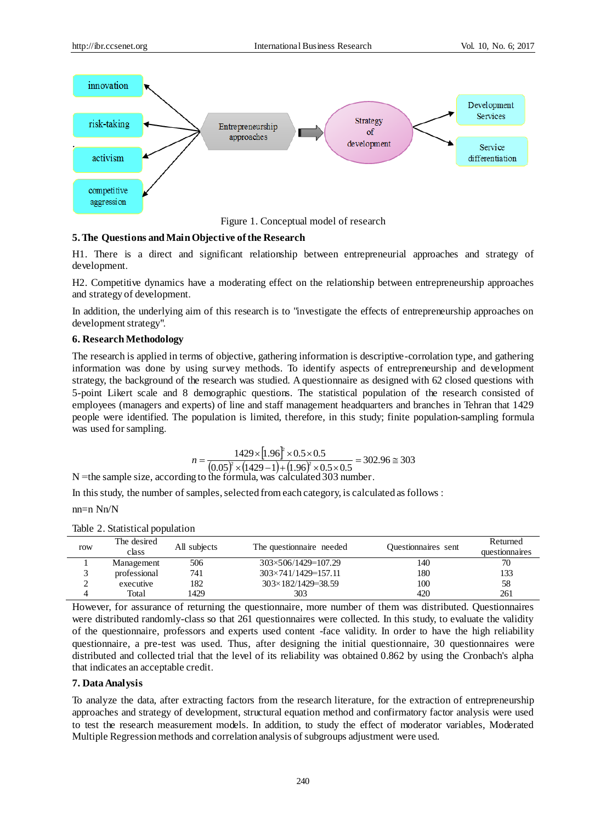

Figure 1. Conceptual model of research

#### **5. The Questions and Main Objective of the Research**

H1. There is a direct and significant relationship between entrepreneurial approaches and strategy of development.

H2. Competitive dynamics have a moderating effect on the relationship between entrepreneurship approaches and strategy of development.

In addition, the underlying aim of this research is to "investigate the effects of entrepreneurship approaches on development strategy".

#### **6. ResearchMethodology**

The research is applied in terms of objective, gathering information is descriptive-corrolation type, and gathering information was done by using survey methods. To identify aspects of entrepreneurship and development strategy, the background of the research was studied. A questionnaire as designed with 62 closed questions with 5-point Likert scale and 8 demographic questions. The statistical population of the research consisted of employees (managers and experts) of line and staff management headquarters and branches in Tehran that 1429 people were identified. The population is limited, therefore, in this study; finite population-sampling formula was used for sampling.

$$
n = \frac{1429 \times [1.96]^2 \times 0.5 \times 0.5}{(0.05)^2 \times (1429 - 1) + (1.96)^2 \times 0.5 \times 0.5} = 302.96 \approx 303
$$

N =the sample size, according to the formula, was calculated 303 number.

In this study, the number of samples, selected from each category, is calculated as follows :

$$
nn=n\;Nn/N
$$

Table 2. Statistical population

| row | The desired<br>class | All subjects | The questionnaire needed       | Questionnaires sent | Returned<br>questionnaires |
|-----|----------------------|--------------|--------------------------------|---------------------|----------------------------|
|     | Management           | 506          | 303×506/1429=107.29            | 140                 | 70                         |
|     | professional         | 741          | $303 \times 741/1429 = 157.11$ | 180                 | 133                        |
|     | executive            | 182          | $303 \times 182/1429 = 38.59$  | 100                 | 58                         |
| 4   | Total                | 1429         | 303                            | 420                 | 261                        |

However, for assurance of returning the questionnaire, more number of them was distributed. Questionnaires were distributed randomly-class so that 261 questionnaires were collected. In this study, to evaluate the validity of the questionnaire, professors and experts used content -face validity. In order to have the high reliability questionnaire, a pre-test was used. Thus, after designing the initial questionnaire, 30 questionnaires were distributed and collected trial that the level of its reliability was obtained 0.862 by using the Cronbach's alpha that indicates an acceptable credit.

#### **7. Data Analysis**

To analyze the data, after extracting factors from the research literature, for the extraction of entrepreneurship approaches and strategy of development, structural equation method and confirmatory factor analysis were used to test the research measurement models. In addition, to study the effect of moderator variables, Moderated Multiple Regression methods and correlation analysis of subgroups adjustment were used.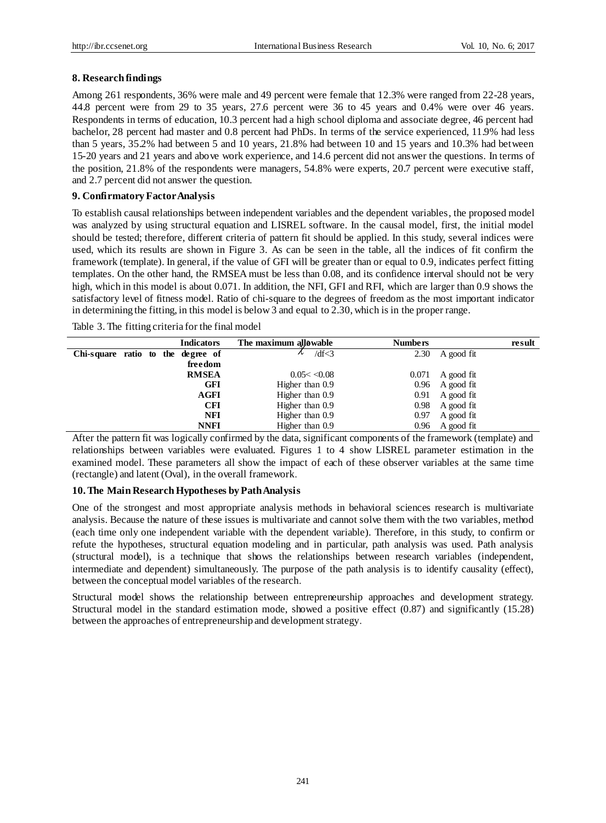## **8. Research findings**

Among 261 respondents, 36% were male and 49 percent were female that 12.3% were ranged from 22-28 years, 44.8 percent were from 29 to 35 years, 27.6 percent were 36 to 45 years and 0.4% were over 46 years. Respondents in terms of education, 10.3 percent had a high school diploma and associate degree, 46 percent had bachelor, 28 percent had master and 0.8 percent had PhDs. In terms of the service experienced, 11.9% had less than 5 years, 35.2% had between 5 and 10 years, 21.8% had between 10 and 15 years and 10.3% had between 15-20 years and 21 years and above work experience, and 14.6 percent did not answer the questions. In terms of the position, 21.8% of the respondents were managers, 54.8% were experts, 20.7 percent were executive staff, and 2.7 percent did not answer the question.

## **9. Confirmatory Factor Analysis**

To establish causal relationships between independent variables and the dependent variables, the proposed model was analyzed by using structural equation and LISREL software. In the causal model, first, the initial model should be tested; therefore, different criteria of pattern fit should be applied. In this study, several indices were used, which its results are shown in Figure 3. As can be seen in the table, all the indices of fit confirm the framework (template). In general, if the value of GFI will be greater than or equal to 0.9, indicates perfect fitting templates. On the other hand, the RMSEA must be less than 0.08, and its confidence interval should not be very high, which in this model is about 0.071. In addition, the NFI, GFI and RFI, which are larger than 0.9 shows the satisfactory level of fitness model. Ratio of chi-square to the degrees of freedom as the most important indicator in determining the fitting, in this model is below 3 and equal to 2.30, which is in the proper range.

Table 3. The fitting criteria for the final model

|                                   | <b>Indicators</b> | The maximum allowable           | <b>Numbers</b> | result            |
|-----------------------------------|-------------------|---------------------------------|----------------|-------------------|
| Chi-square ratio to the degree of |                   | /df $\triangleleft$ 3<br>$\sim$ | 2.30           | A good fit        |
|                                   | freedom           |                                 |                |                   |
|                                   | <b>RMSEA</b>      | $0.05 < \leq 0.08$              | 0.071          | A good fit        |
|                                   | GFI               | Higher than 0.9                 |                | $0.96$ A good fit |
|                                   | AGFI              | Higher than 0.9                 | 0.91           | A good fit        |
|                                   | <b>CFI</b>        | Higher than 0.9                 | 0.98           | A good fit        |
|                                   | <b>NFI</b>        | Higher than 0.9                 | 0.97           | A good fit        |
|                                   | <b>NNFI</b>       | Higher than 0.9                 | 0.96           | A good fit        |

After the pattern fit was logically confirmed by the data, significant components of the framework (template) and relationships between variables were evaluated. Figures 1 to 4 show LISREL parameter estimation in the examined model. These parameters all show the impact of each of these observer variables at the same time (rectangle) and latent (Oval), in the overall framework.

# **10. The Main Research Hypotheses by Path Analysis**

One of the strongest and most appropriate analysis methods in behavioral sciences research is multivariate analysis. Because the nature of these issues is multivariate and cannot solve them with the two variables, method (each time only one independent variable with the dependent variable). Therefore, in this study, to confirm or refute the hypotheses, structural equation modeling and in particular, path analysis was used. Path analysis (structural model), is a technique that shows the relationships between research variables (independent, intermediate and dependent) simultaneously. The purpose of the path analysis is to identify causality (effect), between the conceptual model variables of the research.

Structural model shows the relationship between entrepreneurship approaches and development strategy. Structural model in the standard estimation mode, showed a positive effect (0.87) and significantly (15.28) between the approaches of entrepreneurship and development strategy.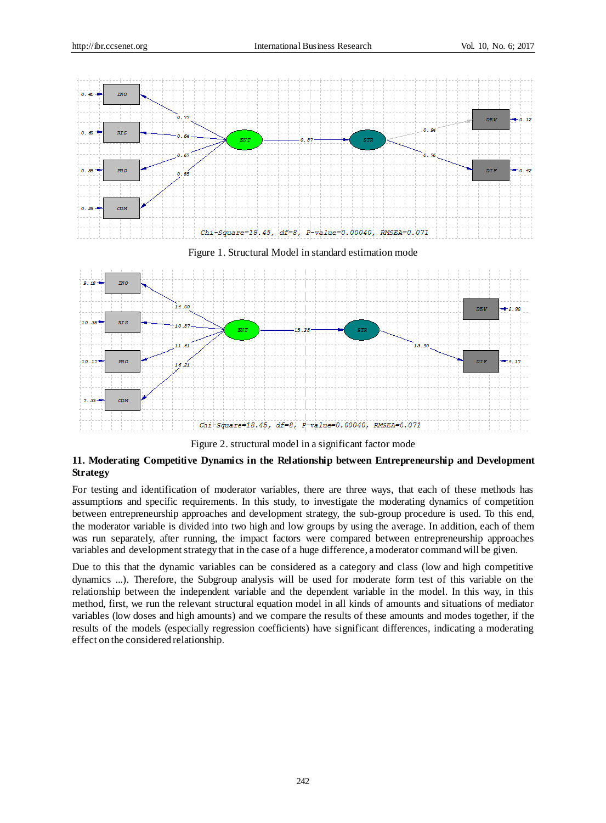

Figure 2. structural model in a significant factor mode

#### **11. Moderating Competitive Dynamics in the Relationship between Entrepreneurship and Development Strategy**

For testing and identification of moderator variables, there are three ways, that each of these methods has assumptions and specific requirements. In this study, to investigate the moderating dynamics of competition between entrepreneurship approaches and development strategy, the sub-group procedure is used. To this end, the moderator variable is divided into two high and low groups by using the average. In addition, each of them was run separately, after running, the impact factors were compared between entrepreneurship approaches variables and development strategy that in the case of a huge difference, a moderator command will be given.

Due to this that the dynamic variables can be considered as a category and class (low and high competitive dynamics ...). Therefore, the Subgroup analysis will be used for moderate form test of this variable on the relationship between the independent variable and the dependent variable in the model. In this way, in this method, first, we run the relevant structural equation model in all kinds of amounts and situations of mediator variables (low doses and high amounts) and we compare the results of these amounts and modes together, if the results of the models (especially regression coefficients) have significant differences, indicating a moderating effect on the considered relationship.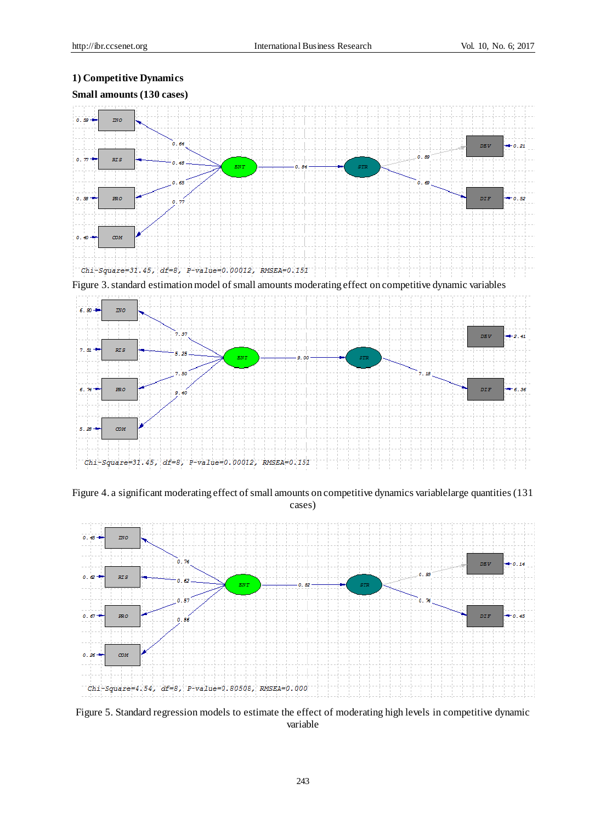

## **1) Competitive Dynamics**

Figure 3. standard estimation model of small amounts moderating effect on competitive dynamic variables



Figure 4. a significant moderating effect of small amounts on competitive dynamics variablelarge quantities (131 cases)



Figure 5. Standard regression models to estimate the effect of moderating high levels in competitive dynamic variable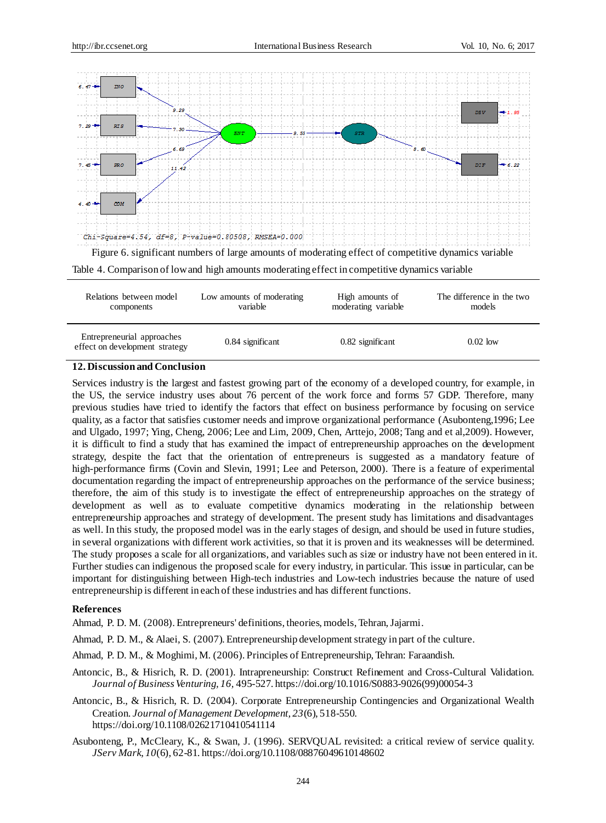

| Relations between model                                                         | Low amounts of moderating | High amounts of     | The difference in the two |
|---------------------------------------------------------------------------------|---------------------------|---------------------|---------------------------|
| components                                                                      | variable                  | moderating variable | models                    |
| Entrepreneurial approaches<br>effect on development strategy<br>$\sim$<br>----- | 0.84 significant          | $0.82$ significant  | $0.02$ low                |

## **12. Discussion and Conclusion**

Services industry is the largest and fastest growing part of the economy of a developed country, for example, in the US, the service industry uses about 76 percent of the work force and forms 57 GDP. Therefore, many previous studies have tried to identify the factors that effect on business performance by focusing on service quality, as a factor that satisfies customer needs and improve organizational performance (Asubonteng,1996; Lee and Ulgado, 1997; Ying, Cheng, 2006; Lee and Lim, 2009, Chen, Arttejo, 2008; Tang and et al,2009). However, it is difficult to find a study that has examined the impact of entrepreneurship approaches on the development strategy, despite the fact that the orientation of entrepreneurs is suggested as a mandatory feature of high-performance firms (Covin and Slevin, 1991; Lee and Peterson, 2000). There is a feature of experimental documentation regarding the impact of entrepreneurship approaches on the performance of the service business; therefore, the aim of this study is to investigate the effect of entrepreneurship approaches on the strategy of development as well as to evaluate competitive dynamics moderating in the relationship between entrepreneurship approaches and strategy of development. The present study has limitations and disadvantages as well. In this study, the proposed model was in the early stages of design, and should be used in future studies, in several organizations with different work activities, so that it is proven and its weaknesses will be determined. The study proposes a scale for all organizations, and variables such as size or industry have not been entered in it. Further studies can indigenous the proposed scale for every industry, in particular. This issue in particular, can be important for distinguishing between High-tech industries and Low-tech industries because the nature of used entrepreneurship is different in each of these industries and has different functions.

#### **References**

Ahmad, P. D. M. (2008). Entrepreneurs' definitions, theories, models, Tehran, Jajarmi.

Ahmad, P. D. M., & Alaei, S. (2007). Entrepreneurship development strategy in part of the culture.

- Ahmad, P. D. M., & Moghimi, M. (2006). Principles of Entrepreneurship, Tehran: Faraandish.
- Antoncic, B., & Hisrich, R. D. (2001). Intrapreneurship: Construct Refinement and Cross-Cultural Validation. *Journal of Business Venturing, 16,* 495-527. https://doi.org/10.1016/S0883-9026(99)00054-3
- Antoncic, B., & Hisrich, R. D. (2004). Corporate Entrepreneurship Contingencies and Organizational Wealth Creation. *Journal of Management Development, 23*(6), 518-550. https://doi.org/10.1108/02621710410541114
- Asubonteng, P., McCleary, K., & Swan, J. (1996). SERVQUAL revisited: a critical review of service quality. *JServ Mark, 10*(6), 62-81. https://doi.org/10.1108/08876049610148602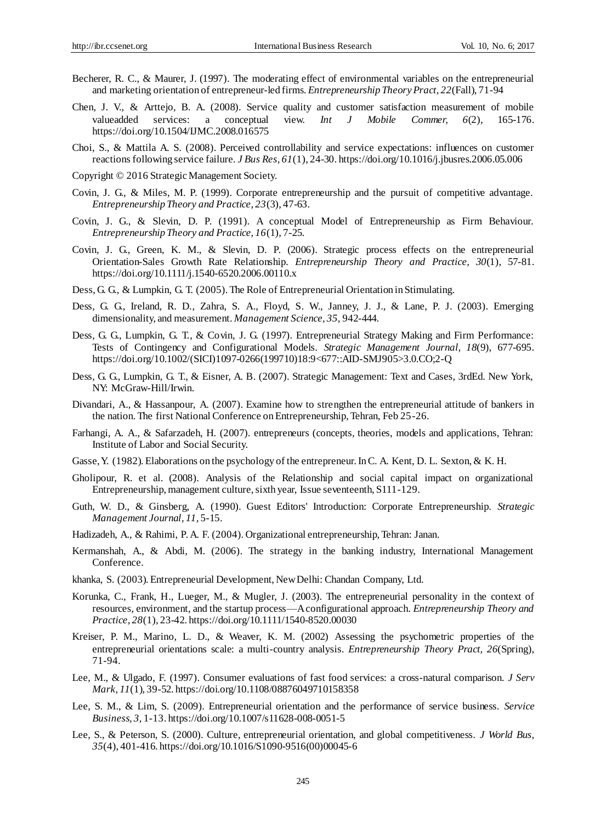- Becherer, R. C., & Maurer, J. (1997). The moderating effect of environmental variables on the entrepreneurial and marketing orientation of entrepreneur-led firms. *Entrepreneurship Theory Pract, 22*(Fall), 71-94
- Chen, J. V., & Arttejo, B. A. (2008). Service quality and customer satisfaction measurement of mobile valueadded services: a conceptual view. *Int J Mobile Commer, 6*(2), 165-176. https://doi.org/10.1504/IJMC.2008.016575
- Choi, S., & Mattila A. S. (2008). Perceived controllability and service expectations: influences on customer reactions following service failure. *J Bus Res, 61*(1), 24-30. https://doi.org/10.1016/j.jbusres.2006.05.006
- Copyright © 2016 Strategic Management Society.
- Covin, J. G., & Miles, M. P. (1999). Corporate entrepreneurship and the pursuit of competitive advantage. *Entrepreneurship Theory and Practice, 23*(3), 47-63.
- Covin, J. G., & Slevin, D. P. (1991). A conceptual Model of Entrepreneurship as Firm Behaviour. *Entrepreneurship Theory and Practice, 16*(1), 7-25.
- Covin, J. G., Green, K. M., & Slevin, D. P. (2006). Strategic process effects on the entrepreneurial Orientation-Sales Growth Rate Relationship. *Entrepreneurship Theory and Practice, 30*(1), 57-81. https://doi.org/10.1111/j.1540-6520.2006.00110.x
- Dess, G. G., & Lumpkin, G. T. (2005). The Role of Entrepreneurial Orientation in Stimulating.
- Dess, G. G., Ireland, R. D., Zahra, S. A., Floyd, S. W., Janney, J. J., & Lane, P. J. (2003). Emerging dimensionality, and measurement. *Management Science, 35,* 942-444.
- Dess, G. G., Lumpkin, G. T., & Covin, J. G. (1997). Entrepreneurial Strategy Making and Firm Performance: Tests of Contingency and Configurational Models. *Strategic Management Journal, 18*(9), 677-695. https://doi.org/10.1002/(SICI)1097-0266(199710)18:9<677::AID-SMJ905>3.0.CO;2-Q
- Dess, G. G., Lumpkin, G. T., & Eisner, A. B. (2007). Strategic Management: Text and Cases, 3rdEd. New York, NY: McGraw-Hill/Irwin.
- Divandari, A., & Hassanpour, A. (2007). Examine how to strengthen the entrepreneurial attitude of bankers in the nation. The first National Conference on Entrepreneurship, Tehran, Feb 25-26.
- Farhangi, A. A., & Safarzadeh, H. (2007). entrepreneurs (concepts, theories, models and applications, Tehran: Institute of Labor and Social Security.
- Gasse, Y. (1982). Elaborations on the psychology of the entrepreneur. In C. A. Kent, D. L. Sexton, & K. H.
- Gholipour, R. et al. (2008). Analysis of the Relationship and social capital impact on organizational Entrepreneurship, management culture, sixth year, Issue seventeenth, S111-129.
- Guth, W. D., & Ginsberg, A. (1990). Guest Editors' Introduction: Corporate Entrepreneurship. *Strategic Management Journal, 11,* 5-15.
- Hadizadeh, A., & Rahimi, P. A. F. (2004). Organizational entrepreneurship, Tehran: Janan.
- Kermanshah, A., & Abdi, M. (2006). The strategy in the banking industry, International Management Conference.
- khanka, S. (2003). Entrepreneurial Development, New Delhi: Chandan Company, Ltd.
- Korunka, C., Frank, H., Lueger, M., & Mugler, J. (2003). The entrepreneurial personality in the context of resources, environment, and the startup process—A configurational approach. *Entrepreneurship Theory and Practice, 28*(1), 23-42. https://doi.org/10.1111/1540-8520.00030
- Kreiser, P. M., Marino, L. D., & Weaver, K. M. (2002) Assessing the psychometric properties of the entrepreneurial orientations scale: a multi-country analysis. *Entrepreneurship Theory Pract, 26*(Spring), 71-94.
- Lee, M., & Ulgado, F. (1997). Consumer evaluations of fast food services: a cross-natural comparison. *J Serv Mark, 11*(1), 39-52. https://doi.org/10.1108/08876049710158358
- Lee, S. M., & Lim, S. (2009). Entrepreneurial orientation and the performance of service business. *Service Business, 3,* 1-13. https://doi.org/10.1007/s11628-008-0051-5
- Lee, S., & Peterson, S. (2000). Culture, entrepreneurial orientation, and global competitiveness. *J World Bus, 35*(4), 401-416. https://doi.org/10.1016/S1090-9516(00)00045-6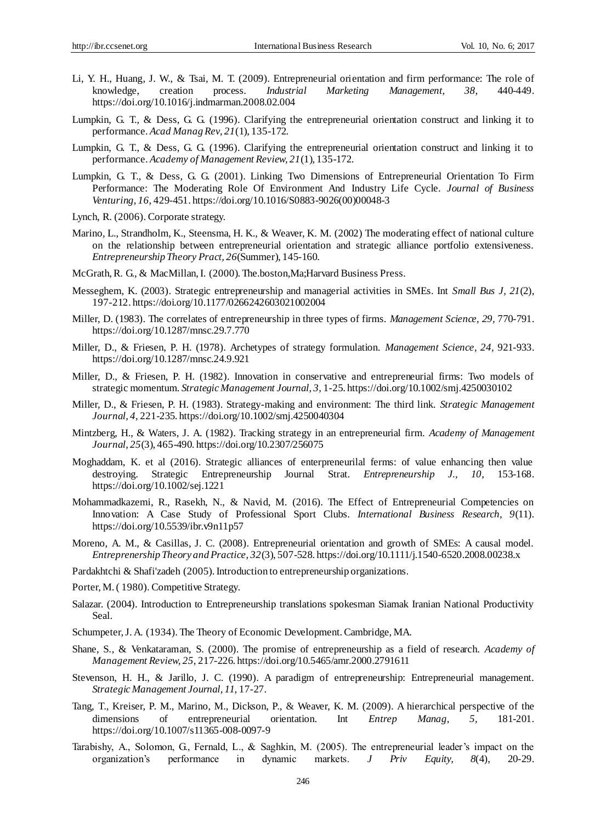- Li, Y. H., Huang, J. W., & Tsai, M. T. (2009). Entrepreneurial orientation and firm performance: The role of knowledge, creation process. *Industrial Marketing Management, 38,* 440-449. https://doi.org/10.1016/j.indmarman.2008.02.004
- Lumpkin, G. T., & Dess, G. G. (1996). Clarifying the entrepreneurial orientation construct and linking it to performance. *Acad Manag Rev, 21*(1), 135-172.
- Lumpkin, G. T., & Dess, G. G. (1996). Clarifying the entrepreneurial orientation construct and linking it to performance. *Academy of Management Review, 21*(1), 135-172.
- Lumpkin, G. T., & Dess, G. G. (2001). Linking Two Dimensions of Entrepreneurial Orientation To Firm Performance: The Moderating Role Of Environment And Industry Life Cycle. *Journal of Business Venturing, 16,* 429-451. https://doi.org/10.1016/S0883-9026(00)00048-3
- Lynch, R. (2006). Corporate strategy.
- Marino, L., Strandholm, K., Steensma, H. K., & Weaver, K. M. (2002) The moderating effect of national culture on the relationship between entrepreneurial orientation and strategic alliance portfolio extensiveness. *Entrepreneurship Theory Pract, 26*(Summer), 145-160.
- McGrath, R. G., & MacMillan, I. (2000). The.boston,Ma;Harvard Business Press.
- Messeghem, K. (2003). Strategic entrepreneurship and managerial activities in SMEs. Int *Small Bus J, 21*(2), 197-212. https://doi.org/10.1177/0266242603021002004
- Miller, D. (1983). The correlates of entrepreneurship in three types of firms. *Management Science, 29,* 770-791. https://doi.org/10.1287/mnsc.29.7.770
- Miller, D., & Friesen, P. H. (1978). Archetypes of strategy formulation. *Management Science, 24,* 921-933. https://doi.org/10.1287/mnsc.24.9.921
- Miller, D., & Friesen, P. H. (1982). Innovation in conservative and entrepreneurial firms: Two models of strategic momentum. *Strategic Management Journal, 3,* 1-25. https://doi.org/10.1002/smj.4250030102
- Miller, D., & Friesen, P. H. (1983). Strategy-making and environment: The third link. *Strategic Management Journal, 4,* 221-235. https://doi.org/10.1002/smj.4250040304
- Mintzberg, H., & Waters, J. A. (1982). Tracking strategy in an entrepreneurial firm. *Academy of Management Journal, 25*(3), 465-490. https://doi.org/10.2307/256075
- Moghaddam, K. et al (2016). Strategic alliances of enterpreneurilal ferms: of value enhancing then value destroying. Strategic Entrepreneurship Journal Strat. *Entrepreneurship J., 10,* 153-168. https://doi.org/10.1002/sej.1221
- Mohammadkazemi, R., Rasekh, N., & Navid, M. (2016). The Effect of Entrepreneurial Competencies on Innovation: A Case Study of Professional Sport Clubs. *International Business Research, 9*(11). https://doi.org/10.5539/ibr.v9n11p57
- Moreno, A. M., & Casillas, J. C. (2008). Entrepreneurial orientation and growth of SMEs: A causal model. *Entreprenership Theory and Practice, 32*(3), 507-528. https://doi.org/10.1111/j.1540-6520.2008.00238.x
- Pardakhtchi & Shafi'zadeh (2005). Introduction to entrepreneurship organizations.

Porter, M. (1980). Competitive Strategy.

- Salazar. (2004). Introduction to Entrepreneurship translations spokesman Siamak Iranian National Productivity Seal.
- Schumpeter, J. A. (1934). The Theory of Economic Development. Cambridge, MA.
- Shane, S., & Venkataraman, S. (2000). The promise of entrepreneurship as a field of research. *Academy of Management Review, 25,* 217-226. https://doi.org/10.5465/amr.2000.2791611
- Stevenson, H. H., & Jarillo, J. C. (1990). A paradigm of entrepreneurship: Entrepreneurial management. *Strategic Management Journal, 11,* 17-27.
- Tang, T., Kreiser, P. M., Marino, M., Dickson, P., & Weaver, K. M. (2009). A hierarchical perspective of the dimensions of entrepreneurial orientation. Int *Entrep Manag, 5,* 181-201. https://doi.org/10.1007/s11365-008-0097-9
- Tarabishy, A., Solomon, G., Fernald, L., & Saghkin, M. (2005). The entrepreneurial leader's impact on the organization's performance in dynamic markets. *J Priv Equity, 8*(4), 20-29.